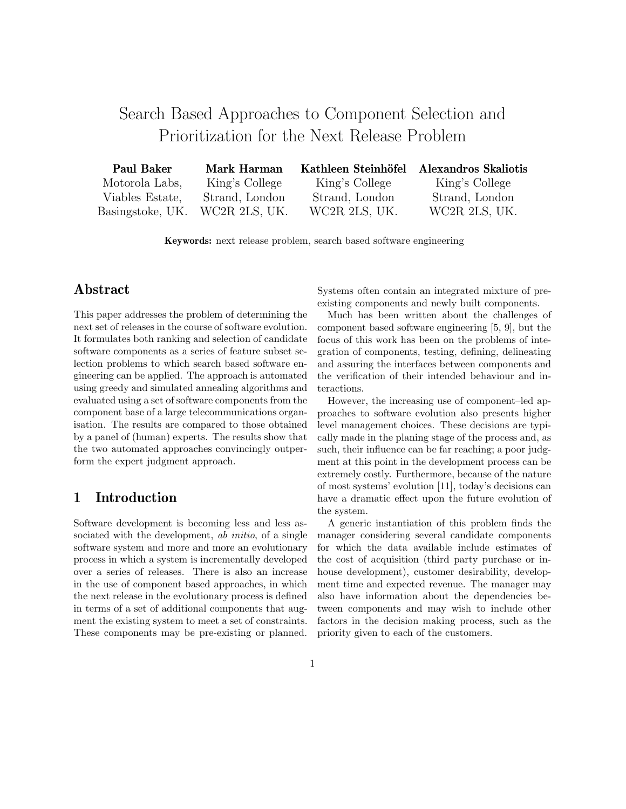# Search Based Approaches to Component Selection and Prioritization for the Next Release Problem

| Paul Baker       | <b>Mark Harman</b> | Kathleen Steinhöfel | Alexandros Skaliotis |
|------------------|--------------------|---------------------|----------------------|
| Motorola Labs,   | King's College     | King's College      | King's College       |
| Viables Estate,  | Strand, London     | Strand, London      | Strand, London       |
| Basingstoke, UK. | WC2R 2LS, UK.      | WC2R 2LS, UK.       | WC2R 2LS, UK.        |

**Keywords:** next release problem, search based software engineering

## **Abstract**

This paper addresses the problem of determining the next set of releases in the course of software evolution. It formulates both ranking and selection of candidate software components as a series of feature subset selection problems to which search based software engineering can be applied. The approach is automated using greedy and simulated annealing algorithms and evaluated using a set of software components from the component base of a large telecommunications organisation. The results are compared to those obtained by a panel of (human) experts. The results show that the two automated approaches convincingly outperform the expert judgment approach.

## **1 Introduction**

Software development is becoming less and less associated with the development, *ab initio*, of a single software system and more and more an evolutionary process in which a system is incrementally developed over a series of releases. There is also an increase in the use of component based approaches, in which the next release in the evolutionary process is defined in terms of a set of additional components that augment the existing system to meet a set of constraints. These components may be pre-existing or planned.

Systems often contain an integrated mixture of preexisting components and newly built components.

Much has been written about the challenges of component based software engineering [5, 9], but the focus of this work has been on the problems of integration of components, testing, defining, delineating and assuring the interfaces between components and the verification of their intended behaviour and interactions.

However, the increasing use of component–led approaches to software evolution also presents higher level management choices. These decisions are typically made in the planing stage of the process and, as such, their influence can be far reaching; a poor judgment at this point in the development process can be extremely costly. Furthermore, because of the nature of most systems' evolution [11], today's decisions can have a dramatic effect upon the future evolution of the system.

A generic instantiation of this problem finds the manager considering several candidate components for which the data available include estimates of the cost of acquisition (third party purchase or inhouse development), customer desirability, development time and expected revenue. The manager may also have information about the dependencies between components and may wish to include other factors in the decision making process, such as the priority given to each of the customers.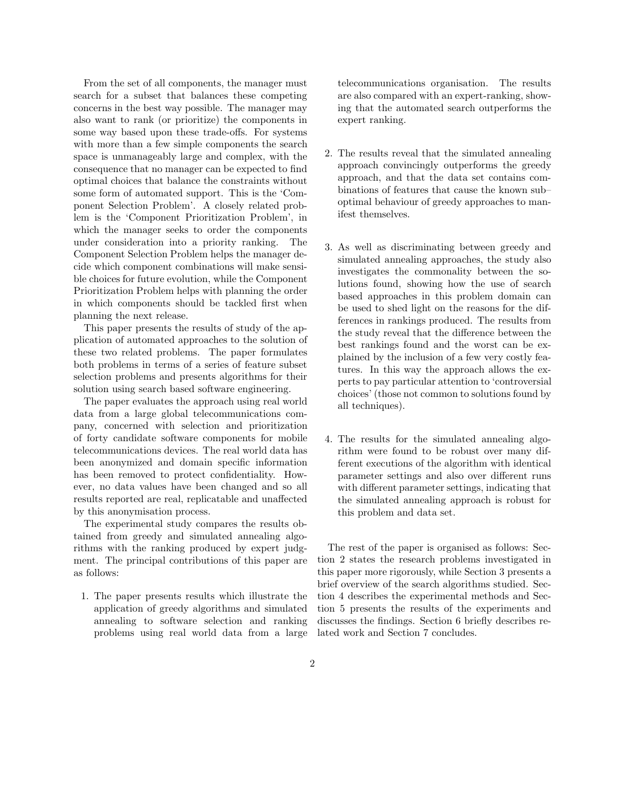From the set of all components, the manager must search for a subset that balances these competing concerns in the best way possible. The manager may also want to rank (or prioritize) the components in some way based upon these trade-offs. For systems with more than a few simple components the search space is unmanageably large and complex, with the consequence that no manager can be expected to find optimal choices that balance the constraints without some form of automated support. This is the 'Component Selection Problem'. A closely related problem is the 'Component Prioritization Problem', in which the manager seeks to order the components under consideration into a priority ranking. The Component Selection Problem helps the manager decide which component combinations will make sensible choices for future evolution, while the Component Prioritization Problem helps with planning the order in which components should be tackled first when planning the next release.

This paper presents the results of study of the application of automated approaches to the solution of these two related problems. The paper formulates both problems in terms of a series of feature subset selection problems and presents algorithms for their solution using search based software engineering.

The paper evaluates the approach using real world data from a large global telecommunications company, concerned with selection and prioritization of forty candidate software components for mobile telecommunications devices. The real world data has been anonymized and domain specific information has been removed to protect confidentiality. However, no data values have been changed and so all results reported are real, replicatable and unaffected by this anonymisation process.

The experimental study compares the results obtained from greedy and simulated annealing algorithms with the ranking produced by expert judgment. The principal contributions of this paper are as follows:

1. The paper presents results which illustrate the application of greedy algorithms and simulated annealing to software selection and ranking problems using real world data from a large telecommunications organisation. The results are also compared with an expert-ranking, showing that the automated search outperforms the expert ranking.

- 2. The results reveal that the simulated annealing approach convincingly outperforms the greedy approach, and that the data set contains combinations of features that cause the known sub– optimal behaviour of greedy approaches to manifest themselves.
- 3. As well as discriminating between greedy and simulated annealing approaches, the study also investigates the commonality between the solutions found, showing how the use of search based approaches in this problem domain can be used to shed light on the reasons for the differences in rankings produced. The results from the study reveal that the difference between the best rankings found and the worst can be explained by the inclusion of a few very costly features. In this way the approach allows the experts to pay particular attention to 'controversial choices' (those not common to solutions found by all techniques).
- 4. The results for the simulated annealing algorithm were found to be robust over many different executions of the algorithm with identical parameter settings and also over different runs with different parameter settings, indicating that the simulated annealing approach is robust for this problem and data set.

The rest of the paper is organised as follows: Section 2 states the research problems investigated in this paper more rigorously, while Section 3 presents a brief overview of the search algorithms studied. Section 4 describes the experimental methods and Section 5 presents the results of the experiments and discusses the findings. Section 6 briefly describes related work and Section 7 concludes.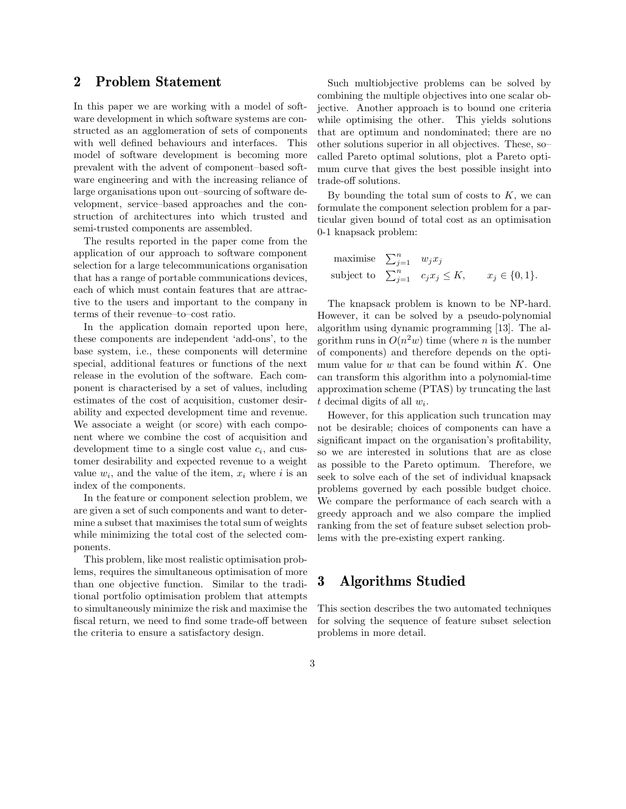## **2 Problem Statement**

In this paper we are working with a model of software development in which software systems are constructed as an agglomeration of sets of components with well defined behaviours and interfaces. This model of software development is becoming more prevalent with the advent of component–based software engineering and with the increasing reliance of large organisations upon out–sourcing of software development, service–based approaches and the construction of architectures into which trusted and semi-trusted components are assembled.

The results reported in the paper come from the application of our approach to software component selection for a large telecommunications organisation that has a range of portable communications devices, each of which must contain features that are attractive to the users and important to the company in terms of their revenue–to–cost ratio.

In the application domain reported upon here, these components are independent 'add-ons', to the base system, i.e., these components will determine special, additional features or functions of the next release in the evolution of the software. Each component is characterised by a set of values, including estimates of the cost of acquisition, customer desirability and expected development time and revenue. We associate a weight (or score) with each component where we combine the cost of acquisition and development time to a single cost value  $c_i$ , and customer desirability and expected revenue to a weight value  $w_i$ , and the value of the item,  $x_i$  where i is an index of the components.

In the feature or component selection problem, we are given a set of such components and want to determine a subset that maximises the total sum of weights while minimizing the total cost of the selected components.

This problem, like most realistic optimisation problems, requires the simultaneous optimisation of more than one objective function. Similar to the traditional portfolio optimisation problem that attempts to simultaneously minimize the risk and maximise the fiscal return, we need to find some trade-off between the criteria to ensure a satisfactory design.

Such multiobjective problems can be solved by combining the multiple objectives into one scalar objective. Another approach is to bound one criteria while optimising the other. This yields solutions that are optimum and nondominated; there are no other solutions superior in all objectives. These, so– called Pareto optimal solutions, plot a Pareto optimum curve that gives the best possible insight into trade-off solutions.

By bounding the total sum of costs to  $K$ , we can formulate the component selection problem for a particular given bound of total cost as an optimisation 0-1 knapsack problem:

maximise 
$$
\sum_{j=1}^{n} w_j x_j
$$
  
subject to  $\sum_{j=1}^{n} c_j x_j \le K$ ,  $x_j \in \{0, 1\}$ .

The knapsack problem is known to be NP-hard. However, it can be solved by a pseudo-polynomial algorithm using dynamic programming [13]. The algorithm runs in  $O(n^2w)$  time (where *n* is the number of components) and therefore depends on the optimum value for  $w$  that can be found within  $K$ . One can transform this algorithm into a polynomial-time approximation scheme (PTAS) by truncating the last t decimal digits of all w*i*.

However, for this application such truncation may not be desirable; choices of components can have a significant impact on the organisation's profitability, so we are interested in solutions that are as close as possible to the Pareto optimum. Therefore, we seek to solve each of the set of individual knapsack problems governed by each possible budget choice. We compare the performance of each search with a greedy approach and we also compare the implied ranking from the set of feature subset selection problems with the pre-existing expert ranking.

## **3 Algorithms Studied**

This section describes the two automated techniques for solving the sequence of feature subset selection problems in more detail.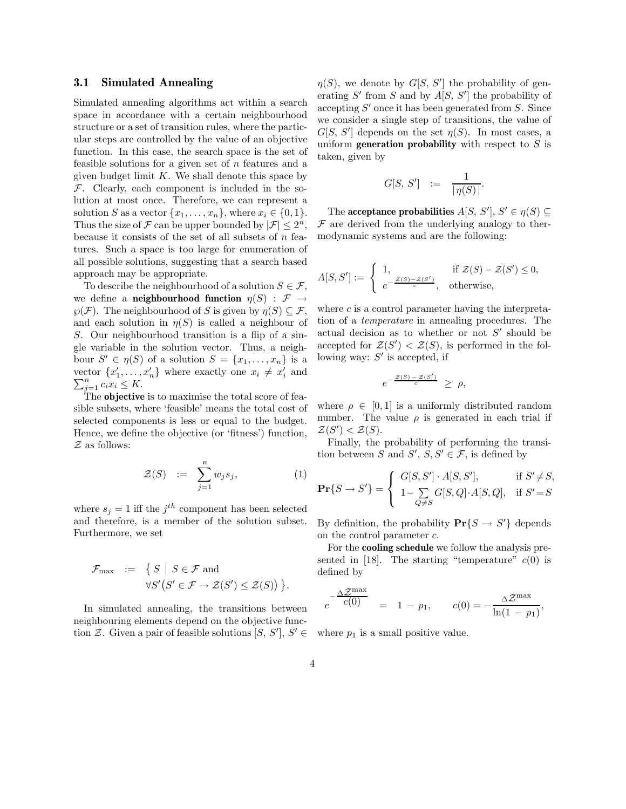#### **3.1 Simulated Annealing**

Simulated annealing algorithms act within a search space in accordance with a certain neighbourhood structure or a set of transition rules, where the particular steps are controlled by the value of an objective function. In this case, the search space is the set of feasible solutions for a given set of  $n$  features and a given budget limit  $K$ . We shall denote this space by  $\mathcal F$ . Clearly, each component is included in the solution at most once. Therefore, we can represent a solution S as a vector  $\{x_1, \ldots, x_n\}$ , where  $x_i \in \{0, 1\}$ . Thus the size of  $\mathcal F$  can be upper bounded by  $|\mathcal F| \leq 2^n$ , because it consists of the set of all subsets of  $n$  features. Such a space is too large for enumeration of all possible solutions, suggesting that a search based approach may be appropriate.

To describe the neighbourhood of a solution  $S \in \mathcal{F}$ , we define a **neighbourhood function**  $\eta(S) : \mathcal{F} \rightarrow$  $\varphi(\mathcal{F})$ . The neighbourhood of S is given by  $\eta(S) \subseteq \mathcal{F}$ , and each solution in  $\eta(S)$  is called a neighbour of S. Our neighbourhood transition is a flip of a single variable in the solution vector. Thus, a neighbour  $S' \in \eta(S)$  of a solution  $S = \{x_1, \ldots, x_n\}$  is a vector  $\{x'_1, \ldots, x'_n\}$  where exactly one  $x_i \neq x'_i$  and  $\sum_{i=1}^n x_i \leq K$  $\sum_{j=1}^n c_i x_i \leq K.$ 

The **objective** is to maximise the total score of feasible subsets, where 'feasible' means the total cost of selected components is less or equal to the budget. Hence, we define the objective (or 'fitness') function,  $Z$  as follows:

$$
\mathcal{Z}(S) := \sum_{j=1}^{n} w_j s_j, \qquad (1)
$$

where  $s_j = 1$  iff the  $j^{th}$  component has been selected and therefore, is a member of the solution subset. Furthermore, we set

$$
\mathcal{F}_{\max} := \{ S \mid S \in \mathcal{F} \text{ and}
$$
  

$$
\forall S' (S' \in \mathcal{F} \to \mathcal{Z}(S') \leq \mathcal{Z}(S)) \}.
$$

In simulated annealing, the transitions between neighbouring elements depend on the objective function Z. Given a pair of feasible solutions  $[S, S'], S' \in$ 

 $\eta(S)$ , we denote by  $G[S, S']$  the probability of generating  $S'$  from S and by  $A[S, S']$  the probability of accepting  $S'$  once it has been generated from S. Since we consider a single step of transitions, the value of  $G[S, S']$  depends on the set  $\eta(S)$ . In most cases, a uniform **generation probability** with respect to  $S$  is taken, given by

$$
G[S, S'] \ := \ \frac{1}{|\eta(S)|}.
$$

The **acceptance probabilities**  $A[S, S'], S' \in \eta(S) \subseteq$  $\mathcal F$  are derived from the underlying analogy to thermodynamic systems and are the following:

$$
A[S, S'] := \begin{cases} 1, & \text{if } \mathcal{Z}(S) - \mathcal{Z}(S') \le 0, \\ e^{-\frac{\mathcal{Z}(S) - \mathcal{Z}(S')}{c}}, & \text{otherwise,} \end{cases}
$$

where  $c$  is a control parameter having the interpretation of a *temperature* in annealing procedures. The actual decision as to whether or not  $S'$  should be accepted for  $\mathcal{Z}(S') < \mathcal{Z}(S)$ , is performed in the following way:  $S'$  is accepted, if

$$
e^{-\frac{\mathcal{Z}(S) - \mathcal{Z}(S')}{c}} \geq \rho,
$$

where  $\rho \in [0, 1]$  is a uniformly distributed random number. The value  $\rho$  is generated in each trial if  $\mathcal{Z}(S') < \mathcal{Z}(S)$ .

Finally, the probability of performing the transition between S and S',  $S, S' \in \mathcal{F}$ , is defined by

$$
\mathbf{Pr}\{S \to S'\} = \begin{cases} G[S, S'] \cdot A[S, S'], & \text{if } S' \neq S, \\ 1 - \sum_{Q \neq S} G[S, Q] \cdot A[S, Q], & \text{if } S' = S \end{cases}
$$

By definition, the probability  $\mathbf{Pr}\{S \to S'\}$  depends on the control parameter c.

For the **cooling schedule** we follow the analysis presented in [18]. The starting "temperature"  $c(0)$  is defined by

$$
e^{-\frac{\Delta \mathcal{Z}^{\max}}{c(0)}} = 1 - p_1, \qquad c(0) = -\frac{\Delta \mathcal{Z}^{\max}}{\ln(1 - p_1)},
$$

where  $p_1$  is a small positive value.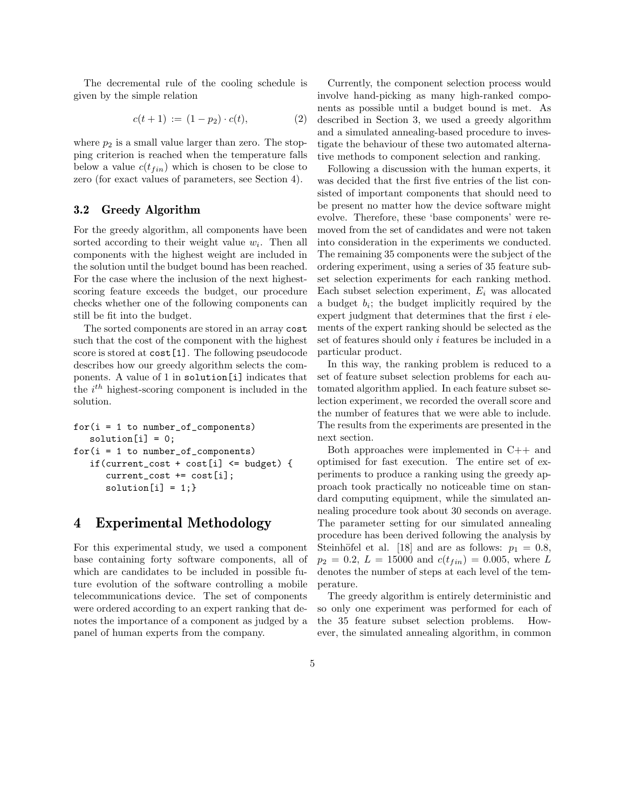The decremental rule of the cooling schedule is given by the simple relation

$$
c(t+1) := (1-p_2) \cdot c(t), \tag{2}
$$

where  $p_2$  is a small value larger than zero. The stopping criterion is reached when the temperature falls below a value  $c(t_{fin})$  which is chosen to be close to zero (for exact values of parameters, see Section 4).

### **3.2 Greedy Algorithm**

For the greedy algorithm, all components have been sorted according to their weight value  $w_i$ . Then all components with the highest weight are included in the solution until the budget bound has been reached. For the case where the inclusion of the next highestscoring feature exceeds the budget, our procedure checks whether one of the following components can still be fit into the budget.

The sorted components are stored in an array cost such that the cost of the component with the highest score is stored at cost[1]. The following pseudocode describes how our greedy algorithm selects the components. A value of 1 in solution[i] indicates that the i *th* highest-scoring component is included in the solution.

```
for(i = 1 to number_of_{components})solution[i] = 0;for(i = 1 to number_of_{components})if(current_cost + cost[i] <= budget) {
current_cost += cost[i];
solution[i] = 1;
```
## **4 Experimental Methodology**

For this experimental study, we used a component base containing forty software components, all of which are candidates to be included in possible future evolution of the software controlling a mobile telecommunications device. The set of components were ordered according to an expert ranking that denotes the importance of a component as judged by a panel of human experts from the company.

Currently, the component selection process would involve hand-picking as many high-ranked components as possible until a budget bound is met. As described in Section 3, we used a greedy algorithm and a simulated annealing-based procedure to investigate the behaviour of these two automated alternative methods to component selection and ranking.

Following a discussion with the human experts, it was decided that the first five entries of the list consisted of important components that should need to be present no matter how the device software might evolve. Therefore, these 'base components' were removed from the set of candidates and were not taken into consideration in the experiments we conducted. The remaining 35 components were the subject of the ordering experiment, using a series of 35 feature subset selection experiments for each ranking method. Each subset selection experiment, E*<sup>i</sup>* was allocated a budget b*i*; the budget implicitly required by the expert judgment that determines that the first i elements of the expert ranking should be selected as the set of features should only i features be included in a particular product.

In this way, the ranking problem is reduced to a set of feature subset selection problems for each automated algorithm applied. In each feature subset selection experiment, we recorded the overall score and the number of features that we were able to include. The results from the experiments are presented in the next section.

Both approaches were implemented in C++ and optimised for fast execution. The entire set of experiments to produce a ranking using the greedy approach took practically no noticeable time on standard computing equipment, while the simulated annealing procedure took about 30 seconds on average. The parameter setting for our simulated annealing procedure has been derived following the analysis by Steinhöfel et al. [18] and are as follows:  $p_1 = 0.8$ ,  $p_2 = 0.2, L = 15000$  and  $c(t_{fin}) = 0.005$ , where L denotes the number of steps at each level of the temperature.

The greedy algorithm is entirely deterministic and so only one experiment was performed for each of the 35 feature subset selection problems. However, the simulated annealing algorithm, in common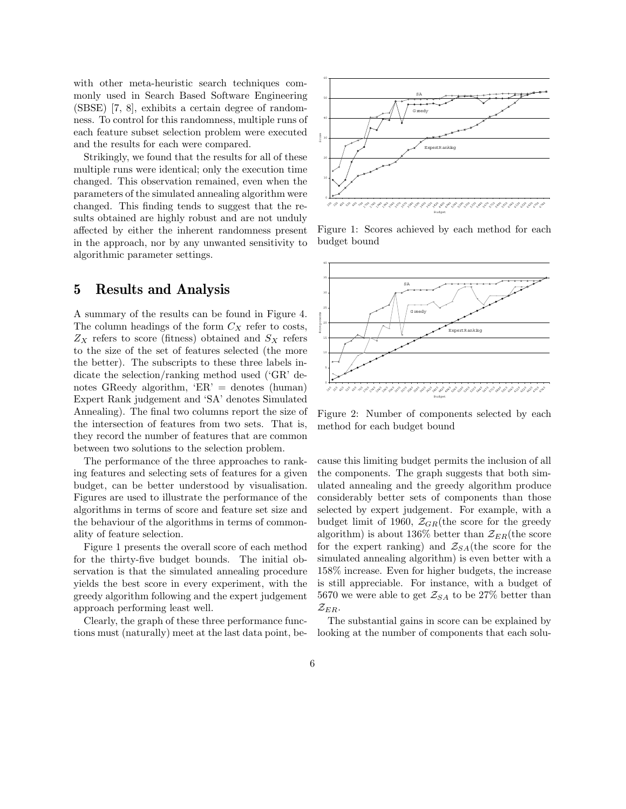with other meta-heuristic search techniques commonly used in Search Based Software Engineering (SBSE) [7, 8], exhibits a certain degree of randomness. To control for this randomness, multiple runs of each feature subset selection problem were executed and the results for each were compared.

Strikingly, we found that the results for all of these multiple runs were identical; only the execution time changed. This observation remained, even when the parameters of the simulated annealing algorithm were changed. This finding tends to suggest that the results obtained are highly robust and are not unduly affected by either the inherent randomness present in the approach, nor by any unwanted sensitivity to algorithmic parameter settings.

## **5 Results and Analysis**

A summary of the results can be found in Figure 4. The column headings of the form  $C_X$  refer to costs,  $Z_X$  refers to score (fitness) obtained and  $S_X$  refers to the size of the set of features selected (the more the better). The subscripts to these three labels indicate the selection/ranking method used ('GR' denotes GReedy algorithm, 'ER' = denotes (human) Expert Rank judgement and 'SA' denotes Simulated Annealing). The final two columns report the size of the intersection of features from two sets. That is, they record the number of features that are common between two solutions to the selection problem.

The performance of the three approaches to ranking features and selecting sets of features for a given budget, can be better understood by visualisation. Figures are used to illustrate the performance of the algorithms in terms of score and feature set size and the behaviour of the algorithms in terms of commonality of feature selection.

Figure 1 presents the overall score of each method for the thirty-five budget bounds. The initial observation is that the simulated annealing procedure yields the best score in every experiment, with the greedy algorithm following and the expert judgement approach performing least well.

Clearly, the graph of these three performance functions must (naturally) meet at the last data point, be-



Figure 1: Scores achieved by each method for each budget bound



Figure 2: Number of components selected by each method for each budget bound

cause this limiting budget permits the inclusion of all the components. The graph suggests that both simulated annealing and the greedy algorithm produce considerably better sets of components than those selected by expert judgement. For example, with a budget limit of 1960,  $\mathcal{Z}_{GR}$ (the score for the greedy algorithm) is about 136\% better than  $\mathcal{Z}_{ER}$ (the score for the expert ranking) and  $\mathcal{Z}_{SA}$  (the score for the simulated annealing algorithm) is even better with a 158% increase. Even for higher budgets, the increase is still appreciable. For instance, with a budget of 5670 we were able to get  $\mathcal{Z}_{SA}$  to be 27% better than  $\mathcal{Z}_{ER}$ .

The substantial gains in score can be explained by looking at the number of components that each solu-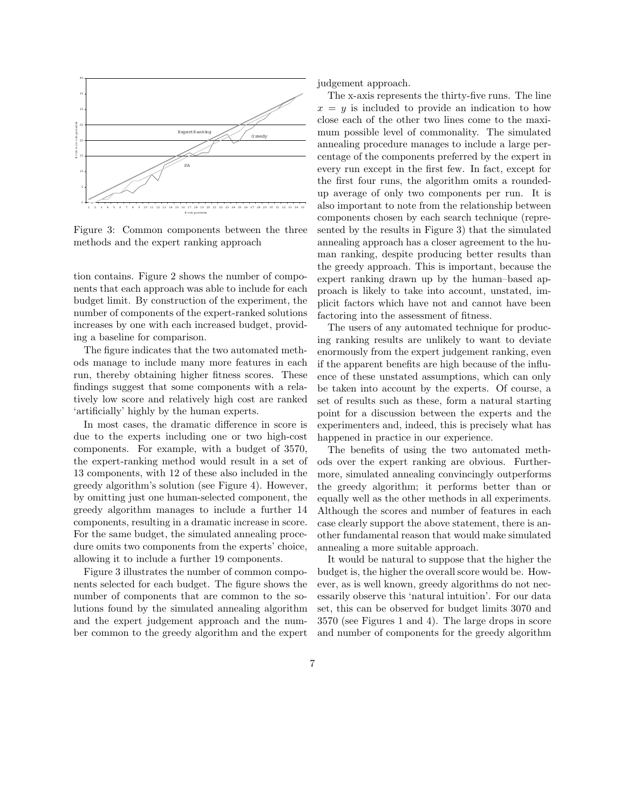

Figure 3: Common components between the three methods and the expert ranking approach

tion contains. Figure 2 shows the number of components that each approach was able to include for each budget limit. By construction of the experiment, the number of components of the expert-ranked solutions increases by one with each increased budget, providing a baseline for comparison.

The figure indicates that the two automated methods manage to include many more features in each run, thereby obtaining higher fitness scores. These findings suggest that some components with a relatively low score and relatively high cost are ranked 'artificially' highly by the human experts.

In most cases, the dramatic difference in score is due to the experts including one or two high-cost components. For example, with a budget of 3570, the expert-ranking method would result in a set of 13 components, with 12 of these also included in the greedy algorithm's solution (see Figure 4). However, by omitting just one human-selected component, the greedy algorithm manages to include a further 14 components, resulting in a dramatic increase in score. For the same budget, the simulated annealing procedure omits two components from the experts' choice, allowing it to include a further 19 components.

Figure 3 illustrates the number of common components selected for each budget. The figure shows the number of components that are common to the solutions found by the simulated annealing algorithm and the expert judgement approach and the number common to the greedy algorithm and the expert judgement approach.

The x-axis represents the thirty-five runs. The line  $x = y$  is included to provide an indication to how close each of the other two lines come to the maximum possible level of commonality. The simulated annealing procedure manages to include a large percentage of the components preferred by the expert in every run except in the first few. In fact, except for the first four runs, the algorithm omits a roundedup average of only two components per run. It is also important to note from the relationship between components chosen by each search technique (represented by the results in Figure 3) that the simulated annealing approach has a closer agreement to the human ranking, despite producing better results than the greedy approach. This is important, because the expert ranking drawn up by the human–based approach is likely to take into account, unstated, implicit factors which have not and cannot have been factoring into the assessment of fitness.

The users of any automated technique for producing ranking results are unlikely to want to deviate enormously from the expert judgement ranking, even if the apparent benefits are high because of the influence of these unstated assumptions, which can only be taken into account by the experts. Of course, a set of results such as these, form a natural starting point for a discussion between the experts and the experimenters and, indeed, this is precisely what has happened in practice in our experience.

The benefits of using the two automated methods over the expert ranking are obvious. Furthermore, simulated annealing convincingly outperforms the greedy algorithm; it performs better than or equally well as the other methods in all experiments. Although the scores and number of features in each case clearly support the above statement, there is another fundamental reason that would make simulated annealing a more suitable approach.

It would be natural to suppose that the higher the budget is, the higher the overall score would be. However, as is well known, greedy algorithms do not necessarily observe this 'natural intuition'. For our data set, this can be observed for budget limits 3070 and 3570 (see Figures 1 and 4). The large drops in score and number of components for the greedy algorithm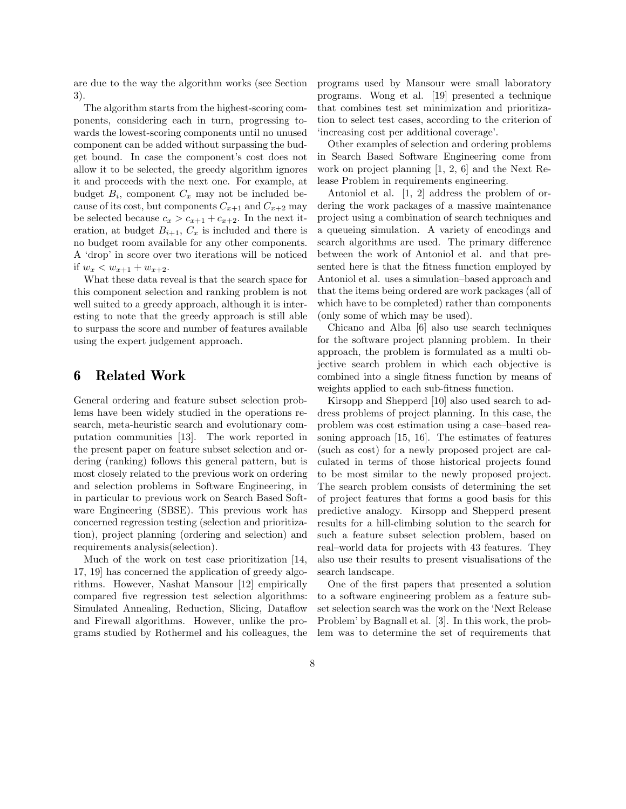are due to the way the algorithm works (see Section 3).

The algorithm starts from the highest-scoring components, considering each in turn, progressing towards the lowest-scoring components until no unused component can be added without surpassing the budget bound. In case the component's cost does not allow it to be selected, the greedy algorithm ignores it and proceeds with the next one. For example, at budget  $B_i$ , component  $C_x$  may not be included because of its cost, but components  $C_{x+1}$  and  $C_{x+2}$  may be selected because  $c_x > c_{x+1} + c_{x+2}$ . In the next iteration, at budget  $B_{i+1}$ ,  $C_x$  is included and there is no budget room available for any other components. A 'drop' in score over two iterations will be noticed if  $w_x < w_{x+1} + w_{x+2}$ .

What these data reveal is that the search space for this component selection and ranking problem is not well suited to a greedy approach, although it is interesting to note that the greedy approach is still able to surpass the score and number of features available using the expert judgement approach.

## **6 Related Work**

General ordering and feature subset selection problems have been widely studied in the operations research, meta-heuristic search and evolutionary computation communities [13]. The work reported in the present paper on feature subset selection and ordering (ranking) follows this general pattern, but is most closely related to the previous work on ordering and selection problems in Software Engineering, in in particular to previous work on Search Based Software Engineering (SBSE). This previous work has concerned regression testing (selection and prioritization), project planning (ordering and selection) and requirements analysis(selection).

Much of the work on test case prioritization [14, 17, 19] has concerned the application of greedy algorithms. However, Nashat Mansour [12] empirically compared five regression test selection algorithms: Simulated Annealing, Reduction, Slicing, Dataflow and Firewall algorithms. However, unlike the programs studied by Rothermel and his colleagues, the programs used by Mansour were small laboratory programs. Wong et al. [19] presented a technique that combines test set minimization and prioritization to select test cases, according to the criterion of 'increasing cost per additional coverage'.

Other examples of selection and ordering problems in Search Based Software Engineering come from work on project planning [1, 2, 6] and the Next Release Problem in requirements engineering.

Antoniol et al. [1, 2] address the problem of ordering the work packages of a massive maintenance project using a combination of search techniques and a queueing simulation. A variety of encodings and search algorithms are used. The primary difference between the work of Antoniol et al. and that presented here is that the fitness function employed by Antoniol et al. uses a simulation–based approach and that the items being ordered are work packages (all of which have to be completed) rather than components (only some of which may be used).

Chicano and Alba [6] also use search techniques for the software project planning problem. In their approach, the problem is formulated as a multi objective search problem in which each objective is combined into a single fitness function by means of weights applied to each sub-fitness function.

Kirsopp and Shepperd [10] also used search to address problems of project planning. In this case, the problem was cost estimation using a case–based reasoning approach [15, 16]. The estimates of features (such as cost) for a newly proposed project are calculated in terms of those historical projects found to be most similar to the newly proposed project. The search problem consists of determining the set of project features that forms a good basis for this predictive analogy. Kirsopp and Shepperd present results for a hill-climbing solution to the search for such a feature subset selection problem, based on real–world data for projects with 43 features. They also use their results to present visualisations of the search landscape.

One of the first papers that presented a solution to a software engineering problem as a feature subset selection search was the work on the 'Next Release Problem' by Bagnall et al. [3]. In this work, the problem was to determine the set of requirements that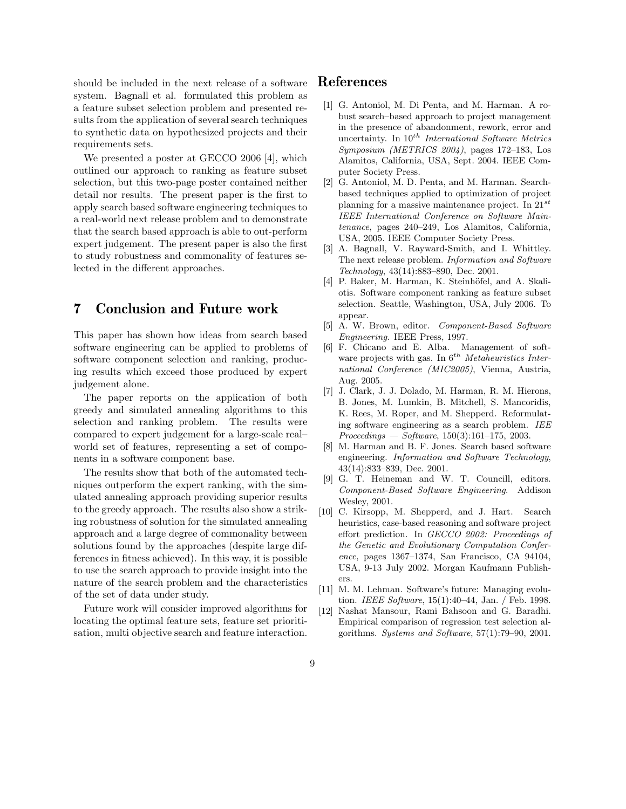should be included in the next release of a software system. Bagnall et al. formulated this problem as a feature subset selection problem and presented results from the application of several search techniques to synthetic data on hypothesized projects and their requirements sets.

We presented a poster at GECCO 2006 [4], which outlined our approach to ranking as feature subset selection, but this two-page poster contained neither detail nor results. The present paper is the first to apply search based software engineering techniques to a real-world next release problem and to demonstrate that the search based approach is able to out-perform expert judgement. The present paper is also the first to study robustness and commonality of features selected in the different approaches.

## **7 Conclusion and Future work**

This paper has shown how ideas from search based software engineering can be applied to problems of software component selection and ranking, producing results which exceed those produced by expert judgement alone.

The paper reports on the application of both greedy and simulated annealing algorithms to this selection and ranking problem. The results were compared to expert judgement for a large-scale real– world set of features, representing a set of components in a software component base.

The results show that both of the automated techniques outperform the expert ranking, with the simulated annealing approach providing superior results to the greedy approach. The results also show a striking robustness of solution for the simulated annealing approach and a large degree of commonality between solutions found by the approaches (despite large differences in fitness achieved). In this way, it is possible to use the search approach to provide insight into the nature of the search problem and the characteristics of the set of data under study.

Future work will consider improved algorithms for locating the optimal feature sets, feature set prioritisation, multi objective search and feature interaction.

## **References**

- [1] G. Antoniol, M. Di Penta, and M. Harman. A robust search–based approach to project management in the presence of abandonment, rework, error and uncertainty. In 10*th International Software Metrics Symposium (METRICS 2004)*, pages 172–183, Los Alamitos, California, USA, Sept. 2004. IEEE Computer Society Press.
- [2] G. Antoniol, M. D. Penta, and M. Harman. Searchbased techniques applied to optimization of project planning for a massive maintenance project. In 21*st IEEE International Conference on Software Maintenance*, pages 240–249, Los Alamitos, California, USA, 2005. IEEE Computer Society Press.
- [3] A. Bagnall, V. Rayward-Smith, and I. Whittley. The next release problem. *Information and Software Technology*, 43(14):883–890, Dec. 2001.
- [4] P. Baker, M. Harman, K. Steinhöfel, and A. Skaliotis. Software component ranking as feature subset selection. Seattle, Washington, USA, July 2006. To appear.
- [5] A. W. Brown, editor. *Component-Based Software Engineering*. IEEE Press, 1997.
- [6] F. Chicano and E. Alba. Management of software projects with gas. In 6*th Metaheuristics International Conference (MIC2005)*, Vienna, Austria, Aug. 2005.
- [7] J. Clark, J. J. Dolado, M. Harman, R. M. Hierons, B. Jones, M. Lumkin, B. Mitchell, S. Mancoridis, K. Rees, M. Roper, and M. Shepperd. Reformulating software engineering as a search problem. *IEE Proceedings — Software*, 150(3):161–175, 2003.
- [8] M. Harman and B. F. Jones. Search based software engineering. *Information and Software Technology*, 43(14):833–839, Dec. 2001.
- [9] G. T. Heineman and W. T. Councill, editors. *Component-Based Software Engineering*. Addison Wesley, 2001.
- [10] C. Kirsopp, M. Shepperd, and J. Hart. Search heuristics, case-based reasoning and software project effort prediction. In *GECCO 2002: Proceedings of the Genetic and Evolutionary Computation Conference*, pages 1367–1374, San Francisco, CA 94104, USA, 9-13 July 2002. Morgan Kaufmann Publishers.
- [11] M. M. Lehman. Software's future: Managing evolution. *IEEE Software*, 15(1):40–44, Jan. / Feb. 1998.
- [12] Nashat Mansour, Rami Bahsoon and G. Baradhi. Empirical comparison of regression test selection algorithms. *Systems and Software*, 57(1):79–90, 2001.